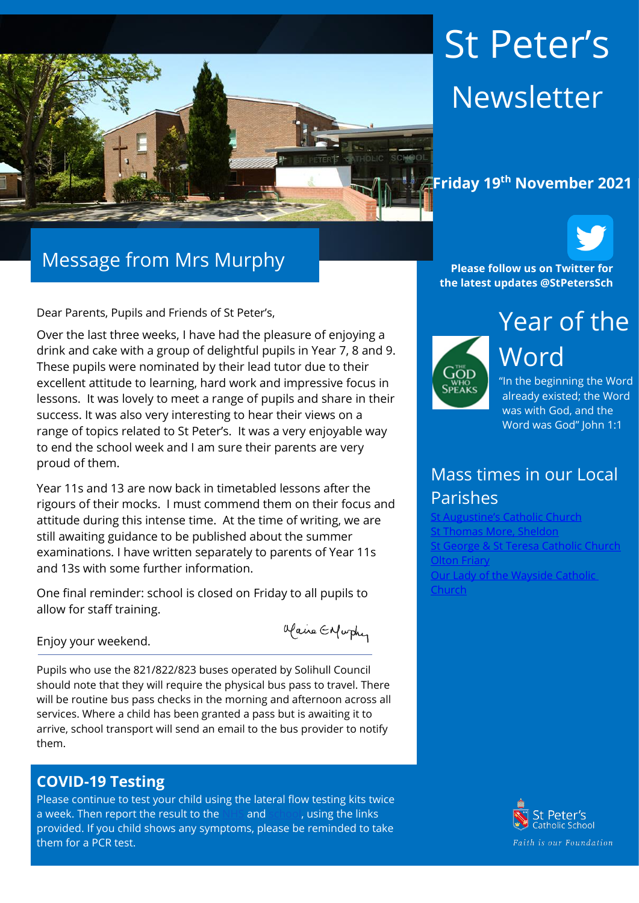

# St Peter's Newsletter

## **Friday 19th November 2021**



Dear Parents, Pupils and Friends of St Peter's,

Over the last three weeks, I have had the pleasure of enjoying a drink and cake with a group of delightful pupils in Year 7, 8 and 9. These pupils were nominated by their lead tutor due to their excellent attitude to learning, hard work and impressive focus in lessons. It was lovely to meet a range of pupils and share in their success. It was also very interesting to hear their views on a range of topics related to St Peter's. It was a very enjoyable way to end the school week and I am sure their parents are very proud of them.

Year 11s and 13 are now back in timetabled lessons after the rigours of their mocks. I must commend them on their focus and attitude during this intense time. At the time of writing, we are still awaiting guidance to be published about the summer examinations. I have written separately to parents of Year 11s and 13s with some further information.

One final reminder: school is closed on Friday to all pupils to allow for staff training.

Maire Enfurthy

Enjoy your weekend.

Pupils who use the 821/822/823 buses operated by Solihull Council should note that they will require the physical bus pass to travel. There will be routine bus pass checks in the morning and afternoon across all services. Where a child has been granted a pass but is awaiting it to arrive, school transport will send an email to the bus provider to notify them.

#### **COVID-19 Testing**

Please continue to test your child using the lateral flow testing kits twice a week. Then report the result to the [NHS](https://protect-eu.mimecast.com/s/FGTjCkrj2Uql2qC2sec8?domain=gov.uk) and [school,](https://protect-eu.mimecast.com/s/0JpMCl2kRSzGRzf9XFat?domain=forms.office.com) using the links provided. If you child shows any symptoms, please be reminded to take them for a PCR test.

**Please follow us on Twitter for the latest updates @StPetersSch**



Year of the Word "In the beginning the Word

already existed; the Word was with God, and the Word was God" John 1:1

## Mass times in our Local Parishes

Catholic Church [St Thomas More, Sheldon](https://www.stthomasmorercchurch.com/) t George & St Teresa Catholic Church [Olton Friary](https://www.oltonfriary.org.uk/) [Our Lady of the Wayside Catholic](http://ourladyofthewaysidechurchshirley.co.uk/)  [Church](http://ourladyofthewaysidechurchshirley.co.uk/)

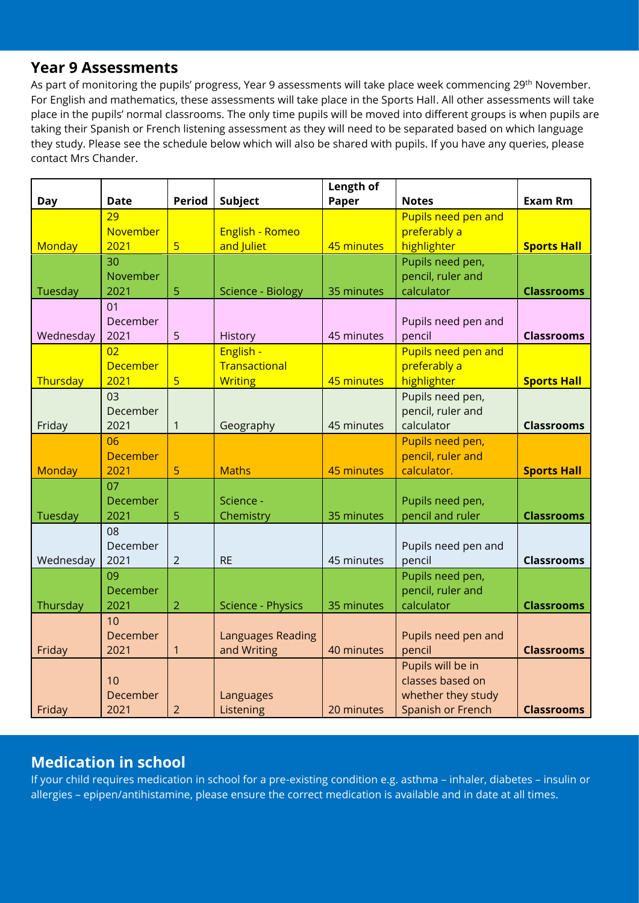#### **Year 9 Assessments**

As part of monitoring the pupils' progress, Year 9 assessments will take place week commencing 29<sup>th</sup> November. For English and mathematics, these assessments will take place in the Sports Hall. All other assessments will take place in the pupils' normal classrooms. The only time pupils will be moved into different groups is when pupils are taking their Spanish or French listening assessment as they will need to be separated based on which language they study. Please see the schedule below which will also be shared with pupils. If you have any queries, please contact Mrs Chander.

|               |                 |                         |                          | Length of  |                     |                    |
|---------------|-----------------|-------------------------|--------------------------|------------|---------------------|--------------------|
| <b>Day</b>    | <b>Date</b>     | <b>Period</b>           | Subject                  | Paper      | <b>Notes</b>        | <b>Exam Rm</b>     |
|               | 29              |                         |                          |            | Pupils need pen and |                    |
|               | November        |                         | English - Romeo          |            | preferably a        |                    |
| Monday        | 2021            | 5                       | and Juliet               | 45 minutes | highlighter         | <b>Sports Hall</b> |
|               | 30              |                         |                          |            | Pupils need pen,    |                    |
|               | November        |                         |                          |            | pencil, ruler and   |                    |
| Tuesday       | 2021            | 5                       | Science - Biology        | 35 minutes | calculator          | <b>Classrooms</b>  |
|               | 01              |                         |                          |            |                     |                    |
|               | December        |                         |                          |            | Pupils need pen and |                    |
| Wednesday     | 2021            | 5                       | <b>History</b>           | 45 minutes | pencil              | <b>Classrooms</b>  |
|               | 02              |                         | English -                |            | Pupils need pen and |                    |
|               | <b>December</b> |                         | Transactional            |            | preferably a        |                    |
| Thursday      | 2021            | $\overline{\mathbf{5}}$ | <b>Writing</b>           | 45 minutes | highlighter         | <b>Sports Hall</b> |
|               | 03              |                         |                          |            | Pupils need pen,    |                    |
|               | December        |                         |                          |            | pencil, ruler and   |                    |
| Friday        | 2021            | $\mathbf{1}$            | Geography                | 45 minutes | calculator          | <b>Classrooms</b>  |
|               | 06              |                         |                          |            | Pupils need pen,    |                    |
|               | <b>December</b> |                         |                          |            | pencil, ruler and   |                    |
| <b>Monday</b> | 2021            | 5                       | <b>Maths</b>             | 45 minutes | calculator.         | <b>Sports Hall</b> |
|               | 07              |                         |                          |            |                     |                    |
|               | December        |                         | Science -                |            | Pupils need pen,    |                    |
| Tuesday       | 2021            | 5                       | Chemistry                | 35 minutes | pencil and ruler    | <b>Classrooms</b>  |
|               | 08              |                         |                          |            |                     |                    |
|               | December        |                         |                          |            | Pupils need pen and |                    |
| Wednesday     | 2021            | $\overline{2}$          | <b>RE</b>                | 45 minutes | pencil              | <b>Classrooms</b>  |
|               | 09              |                         |                          |            | Pupils need pen,    |                    |
|               | December        |                         |                          |            | pencil, ruler and   |                    |
| Thursday      | 2021            | $\overline{2}$          | Science - Physics        | 35 minutes | calculator          | <b>Classrooms</b>  |
|               | 10              |                         |                          |            |                     |                    |
|               | December        |                         | <b>Languages Reading</b> |            | Pupils need pen and |                    |
| Friday        | 2021            | $\mathbf{1}$            | and Writing              | 40 minutes | pencil              | <b>Classrooms</b>  |
|               |                 |                         |                          |            | Pupils will be in   |                    |
|               | 10              |                         |                          |            | classes based on    |                    |
|               | December        |                         | Languages                |            | whether they study  |                    |
| Friday        | 2021            | $\overline{2}$          | Listening                | 20 minutes | Spanish or French   | <b>Classrooms</b>  |

## **Medication in school**

If your child requires medication in school for a pre-existing condition e.g. asthma – inhaler, diabetes – insulin or allergies – epipen/antihistamine, please ensure the correct medication is available and in date at all times.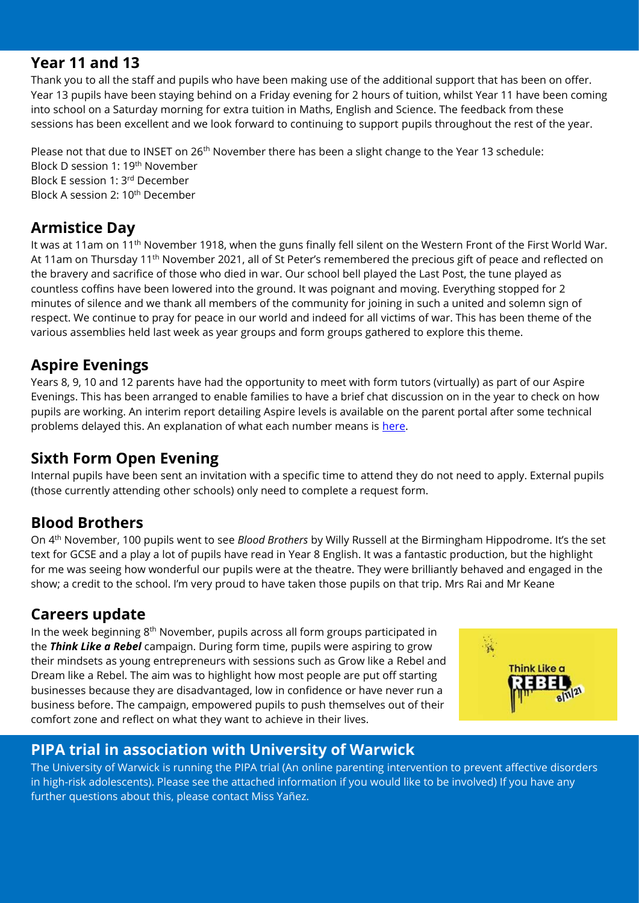#### **Year 11 and 13**

Thank you to all the staff and pupils who have been making use of the additional support that has been on offer. Year 13 pupils have been staying behind on a Friday evening for 2 hours of tuition, whilst Year 11 have been coming into school on a Saturday morning for extra tuition in Maths, English and Science. The feedback from these sessions has been excellent and we look forward to continuing to support pupils throughout the rest of the year.

Please not that due to INSET on 26<sup>th</sup> November there has been a slight change to the Year 13 schedule: Block D session 1: 19th November Block E session 1: 3rd December Block A session 2: 10th December

## **Armistice Day**

It was at 11am on 11<sup>th</sup> November 1918, when the guns finally fell silent on the Western Front of the First World War. At 11am on Thursday 11<sup>th</sup> November 2021, all of St Peter's remembered the precious gift of peace and reflected on the bravery and sacrifice of those who died in war. Our school bell played the Last Post, the tune played as countless coffins have been lowered into the ground. It was poignant and moving. Everything stopped for 2 minutes of silence and we thank all members of the community for joining in such a united and solemn sign of respect. We continue to pray for peace in our world and indeed for all victims of war. This has been theme of the various assemblies held last week as year groups and form groups gathered to explore this theme.

## **Aspire Evenings**

Years 8, 9, 10 and 12 parents have had the opportunity to meet with form tutors (virtually) as part of our Aspire Evenings. This has been arranged to enable families to have a brief chat discussion on in the year to check on how pupils are working. An interim report detailing Aspire levels is available on the parent portal after some technical problems delayed this. An explanation of what each number means is [here.](https://www.st-peters.solihull.sch.uk/attitude-to-learning/)

## **Sixth Form Open Evening**

Internal pupils have been sent an invitation with a specific time to attend they do not need to apply. External pupils (those currently attending other schools) only need to complete a request form.

## **Blood Brothers**

On 4 th November, 100 pupils went to see *Blood Brothers* by Willy Russell at the Birmingham Hippodrome. It's the set text for GCSE and a play a lot of pupils have read in Year 8 English. It was a fantastic production, but the highlight for me was seeing how wonderful our pupils were at the theatre. They were brilliantly behaved and engaged in the show; a credit to the school. I'm very proud to have taken those pupils on that trip. Mrs Rai and Mr Keane

## **Careers update**

In the week beginning 8th November, pupils across all form groups participated in the *Think Like a Rebel* campaign. During form time, pupils were aspiring to grow their mindsets as young entrepreneurs with sessions such as Grow like a Rebel and Dream like a Rebel. The aim was to highlight how most people are put off starting businesses because they are disadvantaged, low in confidence or have never run a business before. The campaign, empowered pupils to push themselves out of their comfort zone and reflect on what they want to achieve in their lives.



## **PIPA trial in association with University of Warwick**

The University of Warwick is running the PIPA trial (An online parenting intervention to prevent affective disorders in high-risk adolescents). Please see the attached information if you would like to be involved) If you have any further questions about this, please contact Miss Yañez.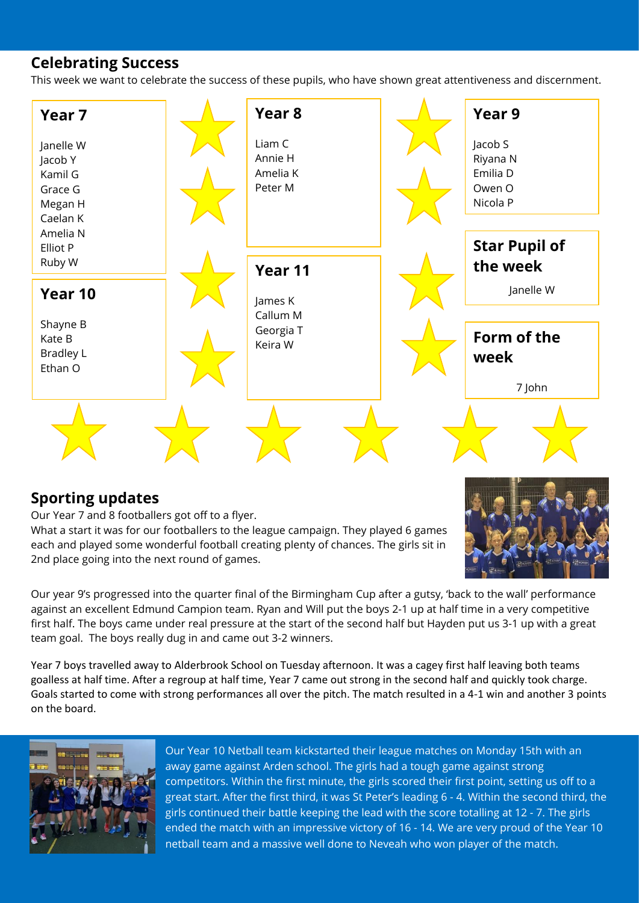#### **Celebrating Success**

This week we want to celebrate the success of these pupils, who have shown great attentiveness and discernment.



#### **Sporting updates**

Our Year 7 and 8 footballers got off to a flyer. What a start it was for our footballers to the league campaign. They played 6 games each and played some wonderful football creating plenty of chances. The girls sit in 2nd place going into the next round of games.



Our year 9's progressed into the quarter final of the Birmingham Cup after a gutsy, 'back to the wall' performance against an excellent Edmund Campion team. Ryan and Will put the boys 2-1 up at half time in a very competitive first half. The boys came under real pressure at the start of the second half but Hayden put us 3-1 up with a great team goal. The boys really dug in and came out 3-2 winners.

Year 7 boys travelled away to Alderbrook School on Tuesday afternoon. It was a cagey first half leaving both teams goalless at half time. After a regroup at half time, Year 7 came out strong in the second half and quickly took charge. Goals started to come with strong performances all over the pitch. The match resulted in a 4-1 win and another 3 points on the board.



Our Year 10 Netball team kickstarted their league matches on Monday 15th with an away game against Arden school. The girls had a tough game against strong competitors. Within the first minute, the girls scored their first point, setting us off to a great start. After the first third, it was St Peter's leading 6 - 4. Within the second third, the girls continued their battle keeping the lead with the score totalling at 12 - 7. The girls ended the match with an impressive victory of 16 - 14. We are very proud of the Year 10 netball team and a massive well done to Neveah who won player of the match.